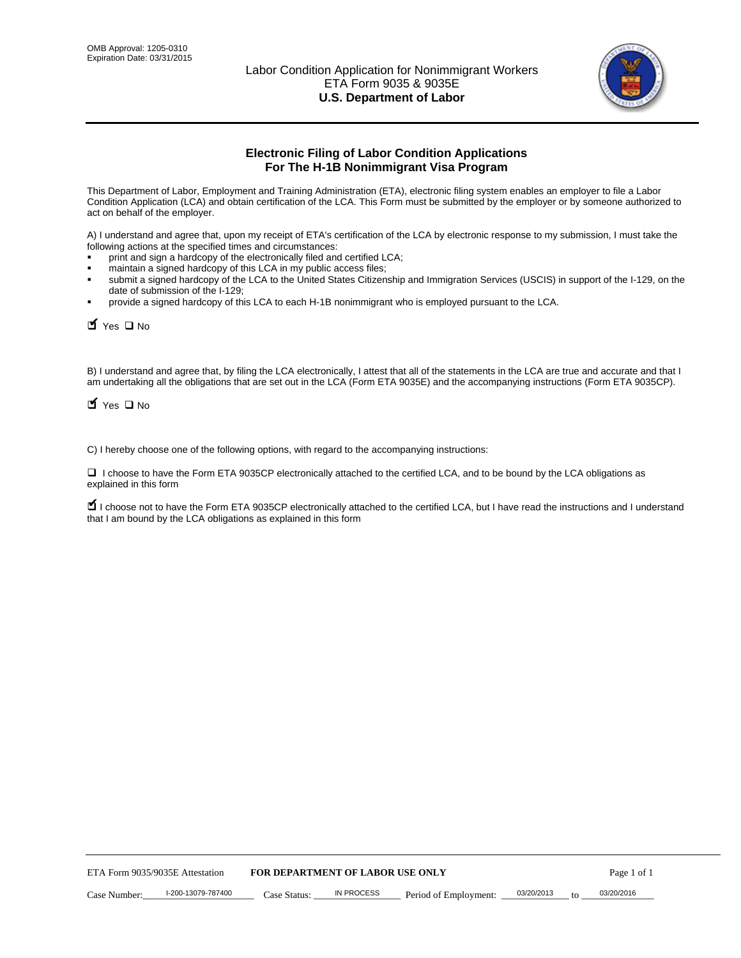

# **Electronic Filing of Labor Condition Applications For The H-1B Nonimmigrant Visa Program**

This Department of Labor, Employment and Training Administration (ETA), electronic filing system enables an employer to file a Labor Condition Application (LCA) and obtain certification of the LCA. This Form must be submitted by the employer or by someone authorized to act on behalf of the employer.

A) I understand and agree that, upon my receipt of ETA's certification of the LCA by electronic response to my submission, I must take the following actions at the specified times and circumstances:

- print and sign a hardcopy of the electronically filed and certified LCA;
- maintain a signed hardcopy of this LCA in my public access files;
- submit a signed hardcopy of the LCA to the United States Citizenship and Immigration Services (USCIS) in support of the I-129, on the date of submission of the I-129;
- provide a signed hardcopy of this LCA to each H-1B nonimmigrant who is employed pursuant to the LCA.

 $\blacksquare$  Yes  $\square$  No

B) I understand and agree that, by filing the LCA electronically, I attest that all of the statements in the LCA are true and accurate and that I am undertaking all the obligations that are set out in the LCA (Form ETA 9035E) and the accompanying instructions (Form ETA 9035CP).

 $\blacksquare$  Yes  $\square$  No

C) I hereby choose one of the following options, with regard to the accompanying instructions:

□ I choose to have the Form ETA 9035CP electronically attached to the certified LCA, and to be bound by the LCA obligations as explained in this form

■ I choose not to have the Form ETA 9035CP electronically attached to the certified LCA, but I have read the instructions and I understand that I am bound by the LCA obligations as explained in this form

| ETA Form 9035/9035E Attestation |                    | <b>FOR DEPARTMENT OF LABOR USE ONLY</b> |            |                       |            |  | Page 1 of 1 |
|---------------------------------|--------------------|-----------------------------------------|------------|-----------------------|------------|--|-------------|
| Case Number:                    | I-200-13079-787400 | Case Status:                            | IN PROCESS | Period of Employment: | 03/20/2013 |  | 03/20/2016  |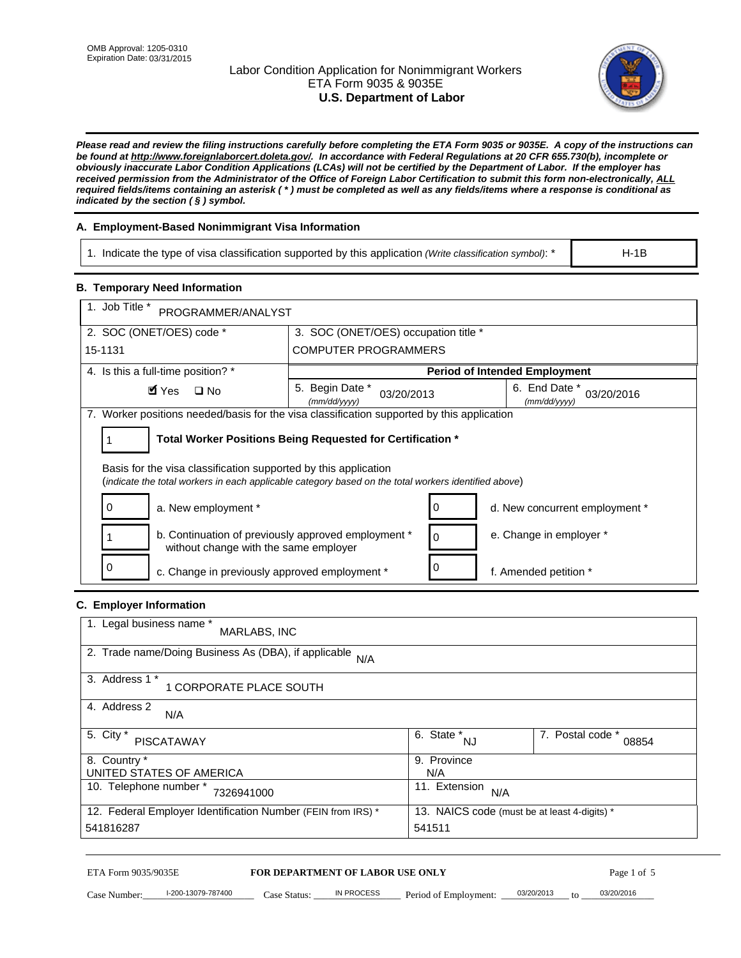## Labor Condition Application for Nonimmigrant Workers ETA Form 9035 & 9035E **U.S. Department of Labor**



H-1B

*Please read and review the filing instructions carefully before completing the ETA Form 9035 or 9035E. A copy of the instructions can be found at http://www.foreignlaborcert.doleta.gov/. In accordance with Federal Regulations at 20 CFR 655.730(b), incomplete or obviously inaccurate Labor Condition Applications (LCAs) will not be certified by the Department of Labor. If the employer has received permission from the Administrator of the Office of Foreign Labor Certification to submit this form non-electronically, ALL required fields/items containing an asterisk ( \* ) must be completed as well as any fields/items where a response is conditional as indicated by the section ( § ) symbol.* 

## **A. Employment-Based Nonimmigrant Visa Information**

1. Indicate the type of visa classification supported by this application *(Write classification symbol)*: \*

### **B. Temporary Need Information**

| 1. Job Title *<br>PROGRAMMER/ANALYST                                                                                                                                    |                                                                                                 |   |                                      |  |  |  |  |
|-------------------------------------------------------------------------------------------------------------------------------------------------------------------------|-------------------------------------------------------------------------------------------------|---|--------------------------------------|--|--|--|--|
| 2. SOC (ONET/OES) code *                                                                                                                                                | 3. SOC (ONET/OES) occupation title *                                                            |   |                                      |  |  |  |  |
| 15-1131                                                                                                                                                                 | <b>COMPUTER PROGRAMMERS</b>                                                                     |   |                                      |  |  |  |  |
| 4. Is this a full-time position? *                                                                                                                                      |                                                                                                 |   | <b>Period of Intended Employment</b> |  |  |  |  |
| <b>M</b> Yes<br>$\Box$ No                                                                                                                                               | Begin Date *<br>6. End Date *<br>5.<br>03/20/2016<br>03/20/2013<br>(mm/dd/yyyy)<br>(mm/dd/vvvv) |   |                                      |  |  |  |  |
| 7. Worker positions needed/basis for the visa classification supported by this application                                                                              |                                                                                                 |   |                                      |  |  |  |  |
|                                                                                                                                                                         | Total Worker Positions Being Requested for Certification *                                      |   |                                      |  |  |  |  |
| Basis for the visa classification supported by this application<br>(indicate the total workers in each applicable category based on the total workers identified above) |                                                                                                 |   |                                      |  |  |  |  |
| a. New employment *                                                                                                                                                     |                                                                                                 |   | d. New concurrent employment *       |  |  |  |  |
| b. Continuation of previously approved employment *<br>without change with the same employer                                                                            |                                                                                                 | 0 | e. Change in employer *              |  |  |  |  |
| c. Change in previously approved employment *                                                                                                                           |                                                                                                 |   | f. Amended petition *                |  |  |  |  |

## **C. Employer Information**

| 1. Legal business name *<br>MARLABS, INC                     |                                              |                           |
|--------------------------------------------------------------|----------------------------------------------|---------------------------|
| 2. Trade name/Doing Business As (DBA), if applicable<br>N/A  |                                              |                           |
| 3. Address 1 *<br>1 CORPORATE PLACE SOUTH                    |                                              |                           |
| 4. Address 2<br>N/A                                          |                                              |                           |
| 5. City *<br><b>PISCATAWAY</b>                               | 6. State *<br><b>NJ</b>                      | 7. Postal code *<br>08854 |
| 8. Country *                                                 | 9. Province                                  |                           |
| UNITED STATES OF AMERICA                                     | N/A                                          |                           |
| 10. Telephone number *<br>7326941000                         | 11. Extension<br>N/A                         |                           |
| 12. Federal Employer Identification Number (FEIN from IRS) * | 13. NAICS code (must be at least 4-digits) * |                           |
| 541816287                                                    | 541511                                       |                           |

#### ETA Form 9035/9035E **FOR DEPARTMENT OF LABOR USE ONLY**

Case Number:  $\frac{1-200-13079-787400}{200-13079-787400}$  Case Status:  $\frac{1}{2}$  IN PROCESS Period of Employment:  $\frac{0.03/20/2013}{200-1200}$  to  $\frac{0.03/20/2016}{200-1200}$ 03/20/2016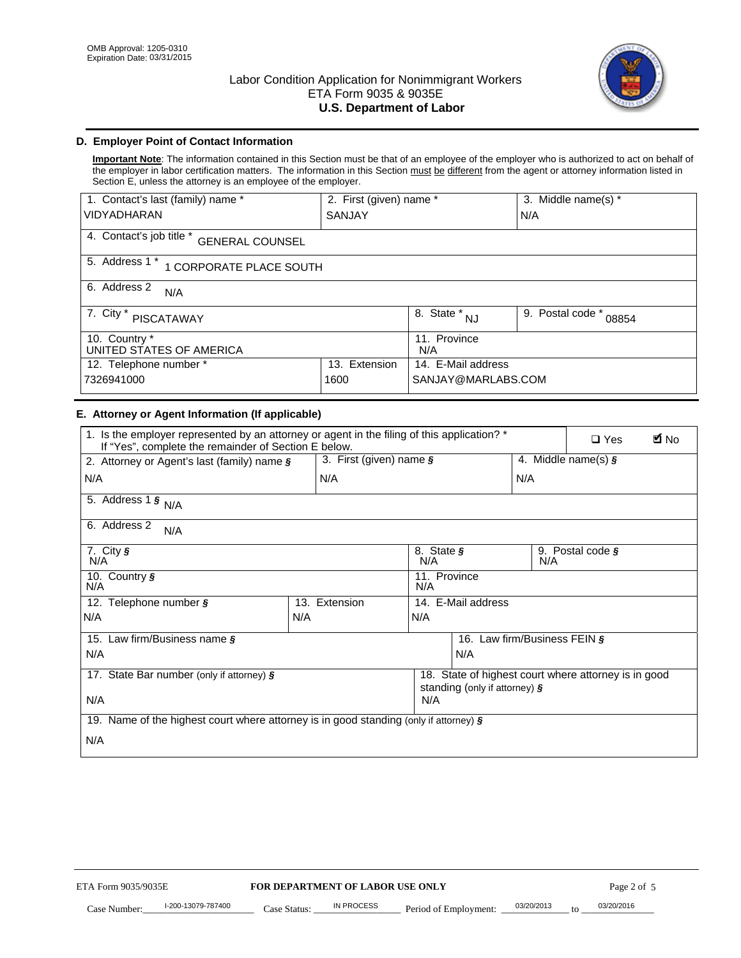

## **D. Employer Point of Contact Information**

**Important Note**: The information contained in this Section must be that of an employee of the employer who is authorized to act on behalf of the employer in labor certification matters. The information in this Section must be different from the agent or attorney information listed in Section E, unless the attorney is an employee of the employer.

| 1. Contact's last (family) name *<br>2. First (given) name * |                         |                           | 3. Middle name(s) * |
|--------------------------------------------------------------|-------------------------|---------------------------|---------------------|
| <b>VIDYADHARAN</b>                                           | SANJAY                  |                           | N/A                 |
| 4. Contact's job title *<br><b>GENERAL COUNSEL</b>           |                         |                           |                     |
| 5. Address 1 *<br>1 CORPORATE PLACE SOUTH                    |                         |                           |                     |
| 6. Address 2<br>N/A                                          |                         |                           |                     |
| 7. City $*$<br><b>PISCATAWAY</b>                             | 8. State *<br><b>NJ</b> | 9. Postal code *<br>08854 |                     |
| 10. Country *<br>UNITED STATES OF AMERICA                    | 11. Province<br>N/A     |                           |                     |
| 12. Telephone number *<br>Extension<br>13.                   |                         | 14. E-Mail address        |                     |
| 7326941000<br>1600                                           |                         | SANJAY@MARLABS.COM        |                     |

### **E. Attorney or Agent Information (If applicable)**

| 1. Is the employer represented by an attorney or agent in the filing of this application? *<br>If "Yes", complete the remainder of Section E below. |     |                                                      |                                             |                                             |     | <b>E</b> No<br>$\Box$ Yes |  |
|-----------------------------------------------------------------------------------------------------------------------------------------------------|-----|------------------------------------------------------|---------------------------------------------|---------------------------------------------|-----|---------------------------|--|
| 2. Attorney or Agent's last (family) name §                                                                                                         |     | 3. First (given) name $\S$                           |                                             |                                             |     | 4. Middle name(s) $\zeta$ |  |
| N/A                                                                                                                                                 |     | N/A                                                  |                                             |                                             | N/A |                           |  |
| 5. Address 1 $\frac{1}{5}$ N/A                                                                                                                      |     |                                                      |                                             |                                             |     |                           |  |
| 6. Address 2<br>N/A                                                                                                                                 |     |                                                      |                                             |                                             |     |                           |  |
| 7. City $\sqrt{s}$<br>N/A                                                                                                                           |     |                                                      | N/A                                         | 8. State §<br>9. Postal code $\zeta$<br>N/A |     |                           |  |
| 10. Country §<br>N/A                                                                                                                                |     |                                                      | 11. Province<br>N/A                         |                                             |     |                           |  |
| 12. Telephone number §                                                                                                                              |     | 13. Extension                                        | 14. E-Mail address                          |                                             |     |                           |  |
| N/A                                                                                                                                                 | N/A |                                                      | N/A                                         |                                             |     |                           |  |
| 15. Law firm/Business name §                                                                                                                        |     |                                                      | 16.<br>Law firm/Business FEIN $\frac{1}{2}$ |                                             |     |                           |  |
| N/A                                                                                                                                                 |     |                                                      | N/A                                         |                                             |     |                           |  |
| 17. State Bar number (only if attorney) §                                                                                                           |     | 18. State of highest court where attorney is in good |                                             |                                             |     |                           |  |
| N/A                                                                                                                                                 |     |                                                      | standing (only if attorney) §<br>N/A        |                                             |     |                           |  |
| 19. Name of the highest court where attorney is in good standing (only if attorney) $\zeta$                                                         |     |                                                      |                                             |                                             |     |                           |  |
| N/A                                                                                                                                                 |     |                                                      |                                             |                                             |     |                           |  |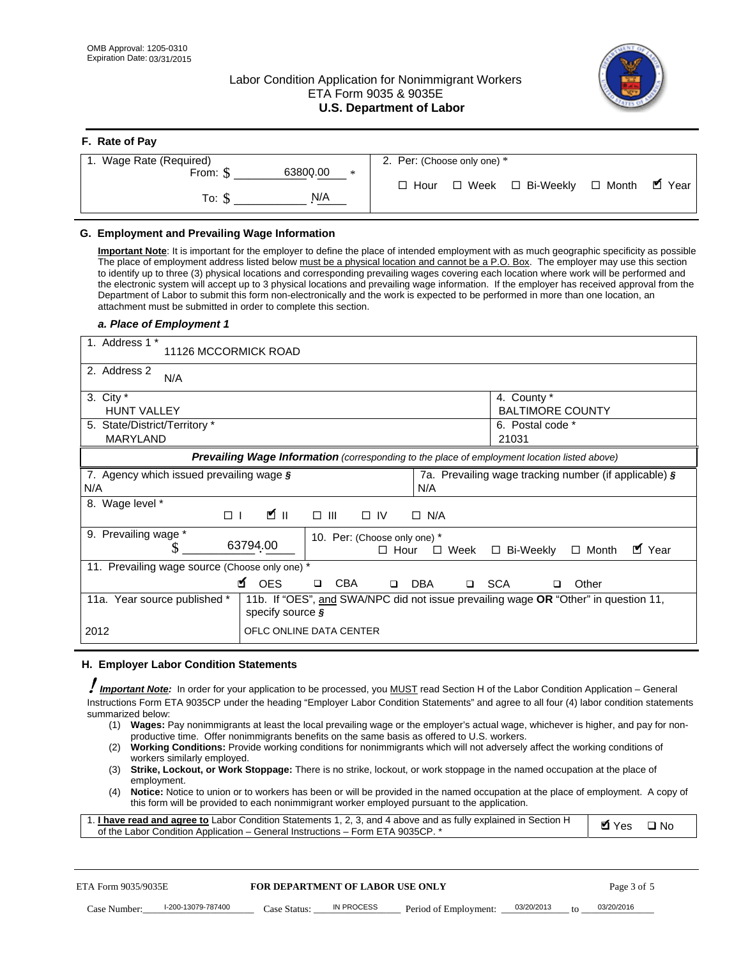**F. Rate of Pay** 

## Labor Condition Application for Nonimmigrant Workers ETA Form 9035 & 9035E **U.S. Department of Labor**



| <b>F.</b> Rate of Pay          |                                                  |
|--------------------------------|--------------------------------------------------|
| 1. Wage Rate (Required)        | 2. Per: (Choose only one) *                      |
| 63800.00<br>From: \$<br>$\ast$ |                                                  |
|                                | □ Week □ Bi-Weekly □ Month ■ Year<br>$\Box$ Hour |
| N/A<br>To: \$                  |                                                  |
|                                |                                                  |

## **G. Employment and Prevailing Wage Information**

**Important Note**: It is important for the employer to define the place of intended employment with as much geographic specificity as possible The place of employment address listed below must be a physical location and cannot be a P.O. Box. The employer may use this section to identify up to three (3) physical locations and corresponding prevailing wages covering each location where work will be performed and the electronic system will accept up to 3 physical locations and prevailing wage information. If the employer has received approval from the Department of Labor to submit this form non-electronically and the work is expected to be performed in more than one location, an attachment must be submitted in order to complete this section.

#### *a. Place of Employment 1*

| 1. Address 1 *<br>11126 MCCORMICK ROAD                 |                                                                                                             |
|--------------------------------------------------------|-------------------------------------------------------------------------------------------------------------|
| 2. Address 2<br>N/A                                    |                                                                                                             |
| 3. City $*$<br><b>HUNT VALLEY</b>                      | 4. County *<br><b>BALTIMORE COUNTY</b>                                                                      |
| 5. State/District/Territory *<br><b>MARYLAND</b>       | 6. Postal code *<br>21031                                                                                   |
|                                                        | Prevailing Wage Information (corresponding to the place of employment location listed above)                |
| 7. Agency which issued prevailing wage $\zeta$<br>N/A  | 7a. Prevailing wage tracking number (if applicable) §<br>N/A                                                |
| Wage level *<br>Ø ⊪<br>$\Box$                          | $\square$ $\square$<br>$\Box$ N/A<br>$\Box$ IV                                                              |
| 9. Prevailing wage *<br>63794.00                       | 10. Per: (Choose only one) *<br>■ Year<br>$\square$ Week<br>$\Box$ Bi-Weekly<br>$\Box$ Month<br>$\Box$ Hour |
| 11. Prevailing wage source (Choose only one) *         |                                                                                                             |
| <b>¤</b> OES                                           | <b>CBA</b><br><b>DBA</b><br><b>SCA</b><br>Other<br>$\Box$<br>$\Box$<br>$\Box$<br>$\Box$                     |
| 11a. Year source published *<br>specify source $\zeta$ | 11b. If "OES", and SWA/NPC did not issue prevailing wage OR "Other" in question 11,                         |
| 2012                                                   | OFLC ONLINE DATA CENTER                                                                                     |

#### **H. Employer Labor Condition Statements**

! *Important Note:* In order for your application to be processed, you MUST read Section H of the Labor Condition Application – General Instructions Form ETA 9035CP under the heading "Employer Labor Condition Statements" and agree to all four (4) labor condition statements summarized below:

- (1) **Wages:** Pay nonimmigrants at least the local prevailing wage or the employer's actual wage, whichever is higher, and pay for nonproductive time. Offer nonimmigrants benefits on the same basis as offered to U.S. workers.
- (2) **Working Conditions:** Provide working conditions for nonimmigrants which will not adversely affect the working conditions of workers similarly employed.
- (3) **Strike, Lockout, or Work Stoppage:** There is no strike, lockout, or work stoppage in the named occupation at the place of employment.
- (4) **Notice:** Notice to union or to workers has been or will be provided in the named occupation at the place of employment. A copy of this form will be provided to each nonimmigrant worker employed pursuant to the application.

| 1. I have read and agree to Labor Condition Statements 1, 2, 3, and 4 above and as fully explained in Section H | Myes ⊡No |  |
|-----------------------------------------------------------------------------------------------------------------|----------|--|
| of the Labor Condition Application – General Instructions – Form ETA 9035CP. *                                  |          |  |

| ETA Form 9035/9035E |                    | <b>FOR DEPARTMENT OF LABOR USE ONLY</b> |            |                                              |  | Page 3 of 5 |            |  |
|---------------------|--------------------|-----------------------------------------|------------|----------------------------------------------|--|-------------|------------|--|
| Case Number:        | l-200-13079-787400 | Case Status:                            | IN PROCESS | Period of Employment: $\frac{03/20/2013}{2}$ |  | to          | 03/20/2016 |  |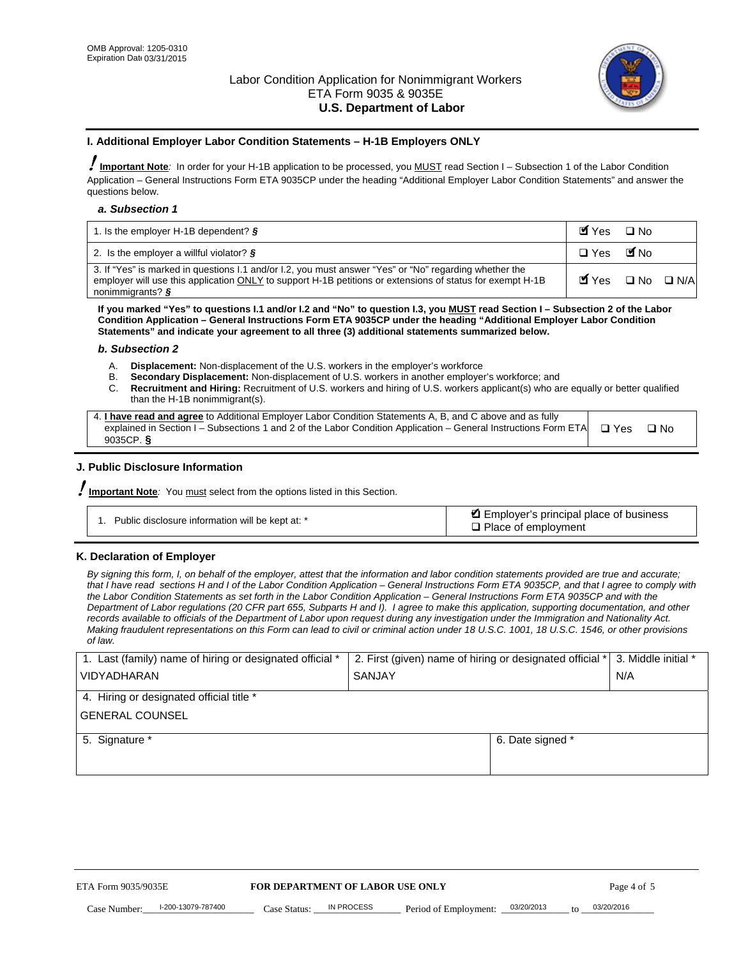

### **I. Additional Employer Labor Condition Statements – H-1B Employers ONLY**

!**Important Note***:* In order for your H-1B application to be processed, you MUST read Section I – Subsection 1 of the Labor Condition Application – General Instructions Form ETA 9035CP under the heading "Additional Employer Labor Condition Statements" and answer the questions below.

#### *a. Subsection 1*

| 1. Is the employer H-1B dependent? $\S$                                                                                                                                                                                                 | Myes                                          | $\Box$ No              |  |
|-----------------------------------------------------------------------------------------------------------------------------------------------------------------------------------------------------------------------------------------|-----------------------------------------------|------------------------|--|
| 2. Is the employer a willful violator? $\frac{1}{2}$                                                                                                                                                                                    | $\Box$ Yes                                    | <b>M</b> <sub>No</sub> |  |
| 3. If "Yes" is marked in questions 1.1 and/or 1.2, you must answer "Yes" or "No" regarding whether the<br>employer will use this application ONLY to support H-1B petitions or extensions of status for exempt H-1B<br>nonimmigrants? § | $\blacksquare$ Yes $\square$ No $\square$ N/A |                        |  |

**If you marked "Yes" to questions I.1 and/or I.2 and "No" to question I.3, you MUST read Section I – Subsection 2 of the Labor Condition Application – General Instructions Form ETA 9035CP under the heading "Additional Employer Labor Condition Statements" and indicate your agreement to all three (3) additional statements summarized below.** 

#### *b. Subsection 2*

- A. **Displacement:** Non-displacement of the U.S. workers in the employer's workforce
- B. **Secondary Displacement:** Non-displacement of U.S. workers in another employer's workforce; and
- C. **Recruitment and Hiring:** Recruitment of U.S. workers and hiring of U.S. workers applicant(s) who are equally or better qualified than the H-1B nonimmigrant(s).

| 4. I have read and agree to Additional Employer Labor Condition Statements A, B, and C above and as fully                  |      |
|----------------------------------------------------------------------------------------------------------------------------|------|
| explained in Section I – Subsections 1 and 2 of the Labor Condition Application – General Instructions Form ETA $\Box$ Yes | ∩ N∩ |
| 9035CP. $\delta$                                                                                                           |      |

## **J. Public Disclosure Information**

!**Important Note***:* You must select from the options listed in this Section.

| Public disclosure information will be kept at: * | Employer's principal place of business<br>$\Box$ Place of employment |
|--------------------------------------------------|----------------------------------------------------------------------|
|--------------------------------------------------|----------------------------------------------------------------------|

#### **K. Declaration of Employer**

*By signing this form, I, on behalf of the employer, attest that the information and labor condition statements provided are true and accurate;*  that I have read sections H and I of the Labor Condition Application – General Instructions Form ETA 9035CP, and that I agree to comply with *the Labor Condition Statements as set forth in the Labor Condition Application – General Instructions Form ETA 9035CP and with the Department of Labor regulations (20 CFR part 655, Subparts H and I). I agree to make this application, supporting documentation, and other records available to officials of the Department of Labor upon request during any investigation under the Immigration and Nationality Act. Making fraudulent representations on this Form can lead to civil or criminal action under 18 U.S.C. 1001, 18 U.S.C. 1546, or other provisions of law.* 

| 1. Last (family) name of hiring or designated official * | 2. First (given) name of hiring or designated official *   3. Middle initial * |                  |     |
|----------------------------------------------------------|--------------------------------------------------------------------------------|------------------|-----|
| <b>VIDYADHARAN</b>                                       | <b>SANJAY</b>                                                                  |                  | N/A |
| 4. Hiring or designated official title *                 |                                                                                |                  |     |
| <b>GENERAL COUNSEL</b>                                   |                                                                                |                  |     |
| 5. Signature *                                           |                                                                                | 6. Date signed * |     |
|                                                          |                                                                                |                  |     |
|                                                          |                                                                                |                  |     |